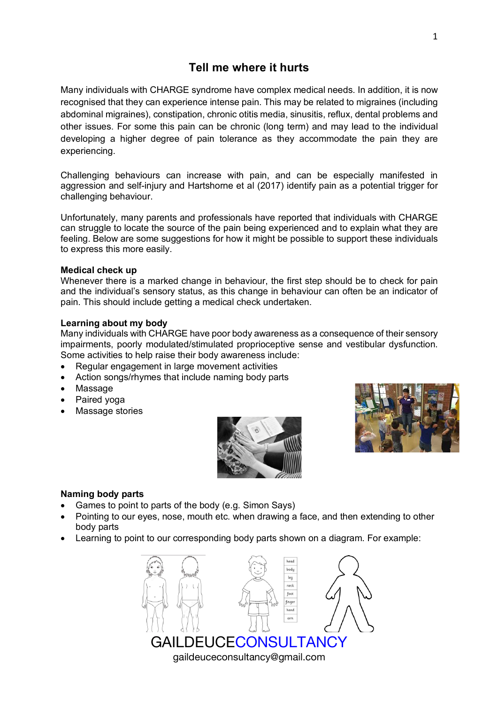# **Tell me where it hurts**

Many individuals with CHARGE syndrome have complex medical needs. In addition, it is now recognised that they can experience intense pain. This may be related to migraines (including abdominal migraines), constipation, chronic otitis media, sinusitis, reflux, dental problems and other issues. For some this pain can be chronic (long term) and may lead to the individual developing a higher degree of pain tolerance as they accommodate the pain they are experiencing.

Challenging behaviours can increase with pain, and can be especially manifested in aggression and self-injury and Hartshorne et al (2017) identify pain as a potential trigger for challenging behaviour.

Unfortunately, many parents and professionals have reported that individuals with CHARGE can struggle to locate the source of the pain being experienced and to explain what they are feeling. Below are some suggestions for how it might be possible to support these individuals to express this more easily.

## **Medical check up**

Whenever there is a marked change in behaviour, the first step should be to check for pain and the individual's sensory status, as this change in behaviour can often be an indicator of pain. This should include getting a medical check undertaken.

## **Learning about my body**

Many individuals with CHARGE have poor body awareness as a consequence of their sensory impairments, poorly modulated/stimulated proprioceptive sense and vestibular dysfunction. Some activities to help raise their body awareness include:

- Regular engagement in large movement activities
- Action songs/rhymes that include naming body parts
- **Massage**
- Paired yoga
- Massage stories





# **Naming body parts**

- Games to point to parts of the body (e.g. Simon Says)
- Pointing to our eyes, nose, mouth etc. when drawing a face, and then extending to other body parts
- Learning to point to our corresponding body parts shown on a diagram. For example: